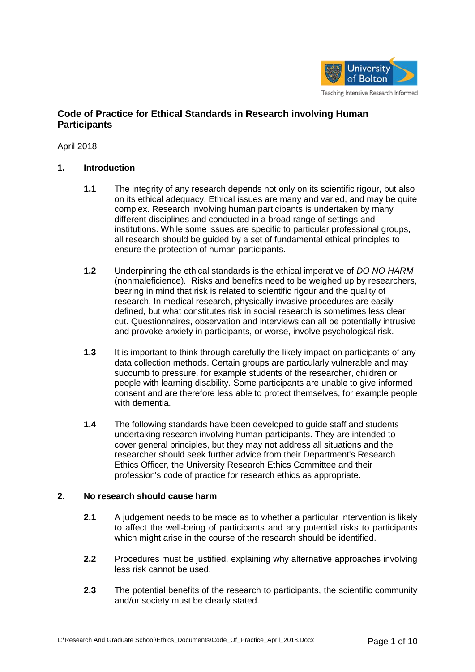

# **Code of Practice for Ethical Standards in Research involving Human Participants**

April 2018

# **1. Introduction**

- **1.1** The integrity of any research depends not only on its scientific rigour, but also on its ethical adequacy. Ethical issues are many and varied, and may be quite complex. Research involving human participants is undertaken by many different disciplines and conducted in a broad range of settings and institutions. While some issues are specific to particular professional groups, all research should be guided by a set of fundamental ethical principles to ensure the protection of human participants.
- **1.2** Underpinning the ethical standards is the ethical imperative of *DO NO HARM* (nonmaleficience). Risks and benefits need to be weighed up by researchers, bearing in mind that risk is related to scientific rigour and the quality of research. In medical research, physically invasive procedures are easily defined, but what constitutes risk in social research is sometimes less clear cut. Questionnaires, observation and interviews can all be potentially intrusive and provoke anxiety in participants, or worse, involve psychological risk.
- **1.3** It is important to think through carefully the likely impact on participants of any data collection methods. Certain groups are particularly vulnerable and may succumb to pressure, for example students of the researcher, children or people with learning disability. Some participants are unable to give informed consent and are therefore less able to protect themselves, for example people with dementia.
- **1.4** The following standards have been developed to guide staff and students undertaking research involving human participants. They are intended to cover general principles, but they may not address all situations and the researcher should seek further advice from their Department's Research Ethics Officer, the University Research Ethics Committee and their profession's code of practice for research ethics as appropriate.

# **2. No research should cause harm**

- **2.1** A judgement needs to be made as to whether a particular intervention is likely to affect the well-being of participants and any potential risks to participants which might arise in the course of the research should be identified.
- **2.2** Procedures must be justified, explaining why alternative approaches involving less risk cannot be used.
- **2.3** The potential benefits of the research to participants, the scientific community and/or society must be clearly stated.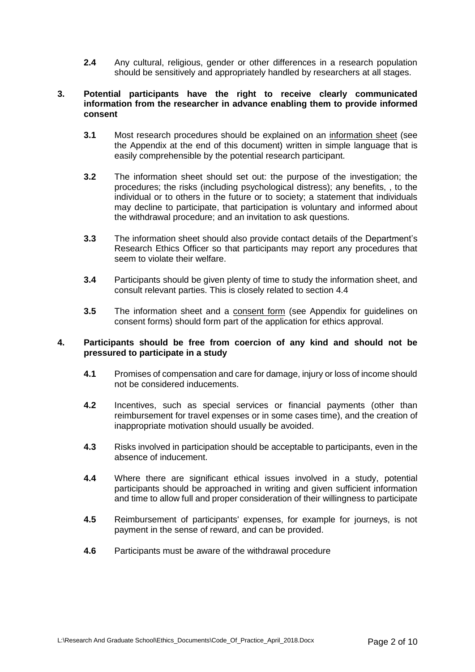**2.4** Any cultural, religious, gender or other differences in a research population should be sensitively and appropriately handled by researchers at all stages.

# **3. Potential participants have the right to receive clearly communicated information from the researcher in advance enabling them to provide informed consent**

- **3.1** Most research procedures should be explained on an information sheet (see the Appendix at the end of this document) written in simple language that is easily comprehensible by the potential research participant.
- **3.2** The information sheet should set out: the purpose of the investigation; the procedures; the risks (including psychological distress); any benefits, , to the individual or to others in the future or to society; a statement that individuals may decline to participate, that participation is voluntary and informed about the withdrawal procedure; and an invitation to ask questions.
- **3.3** The information sheet should also provide contact details of the Department's Research Ethics Officer so that participants may report any procedures that seem to violate their welfare.
- **3.4** Participants should be given plenty of time to study the information sheet, and consult relevant parties. This is closely related to section 4.4
- **3.5** The information sheet and a consent form (see Appendix for guidelines on consent forms) should form part of the application for ethics approval.

# **4. Participants should be free from coercion of any kind and should not be pressured to participate in a study**

- **4.1** Promises of compensation and care for damage, injury or loss of income should not be considered inducements.
- **4.2** Incentives, such as special services or financial payments (other than reimbursement for travel expenses or in some cases time), and the creation of inappropriate motivation should usually be avoided.
- **4.3** Risks involved in participation should be acceptable to participants, even in the absence of inducement.
- **4.4** Where there are significant ethical issues involved in a study, potential participants should be approached in writing and given sufficient information and time to allow full and proper consideration of their willingness to participate
- **4.5** Reimbursement of participants' expenses, for example for journeys, is not payment in the sense of reward, and can be provided.
- **4.6** Participants must be aware of the withdrawal procedure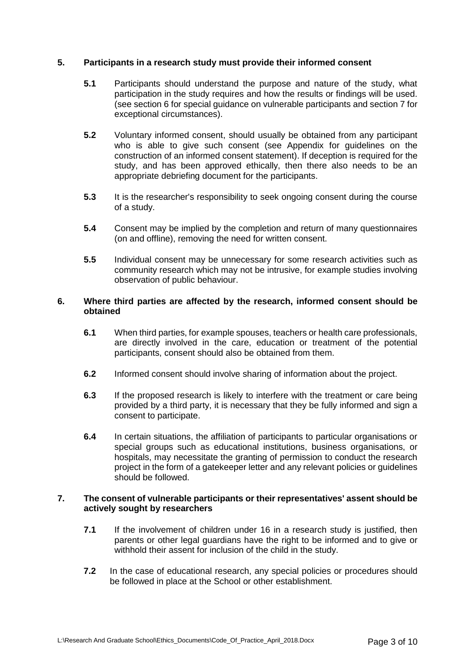# **5. Participants in a research study must provide their informed consent**

- **5.1** Participants should understand the purpose and nature of the study, what participation in the study requires and how the results or findings will be used. (see section 6 for special guidance on vulnerable participants and section 7 for exceptional circumstances).
- **5.2** Voluntary informed consent, should usually be obtained from any participant who is able to give such consent (see Appendix for guidelines on the construction of an informed consent statement). If deception is required for the study, and has been approved ethically, then there also needs to be an appropriate debriefing document for the participants.
- **5.3** It is the researcher's responsibility to seek ongoing consent during the course of a study.
- **5.4** Consent may be implied by the completion and return of many questionnaires (on and offline), removing the need for written consent.
- **5.5** Individual consent may be unnecessary for some research activities such as community research which may not be intrusive, for example studies involving observation of public behaviour.

# **6. Where third parties are affected by the research, informed consent should be obtained**

- **6.1** When third parties, for example spouses, teachers or health care professionals, are directly involved in the care, education or treatment of the potential participants, consent should also be obtained from them.
- **6.2** Informed consent should involve sharing of information about the project.
- **6.3** If the proposed research is likely to interfere with the treatment or care being provided by a third party, it is necessary that they be fully informed and sign a consent to participate.
- **6.4** In certain situations, the affiliation of participants to particular organisations or special groups such as educational institutions, business organisations, or hospitals, may necessitate the granting of permission to conduct the research project in the form of a gatekeeper letter and any relevant policies or guidelines should be followed.

### **7. The consent of vulnerable participants or their representatives' assent should be actively sought by researchers**

- **7.1** If the involvement of children under 16 in a research study is justified, then parents or other legal guardians have the right to be informed and to give or withhold their assent for inclusion of the child in the study.
- **7.2** In the case of educational research, any special policies or procedures should be followed in place at the School or other establishment.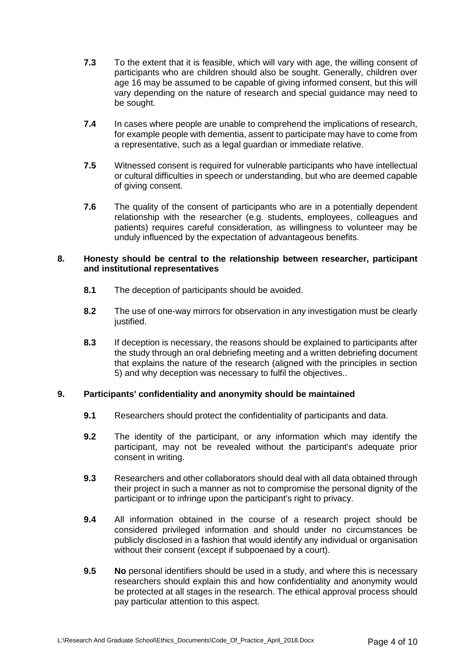- **7.3** To the extent that it is feasible, which will vary with age, the willing consent of participants who are children should also be sought. Generally, children over age 16 may be assumed to be capable of giving informed consent, but this will vary depending on the nature of research and special guidance may need to be sought.
- **7.4** In cases where people are unable to comprehend the implications of research, for example people with dementia, assent to participate may have to come from a representative, such as a legal guardian or immediate relative.
- **7.5** Witnessed consent is required for vulnerable participants who have intellectual or cultural difficulties in speech or understanding, but who are deemed capable of giving consent.
- **7.6** The quality of the consent of participants who are in a potentially dependent relationship with the researcher (e.g. students, employees, colleagues and patients) requires careful consideration, as willingness to volunteer may be unduly influenced by the expectation of advantageous benefits.

# **8. Honesty should be central to the relationship between researcher, participant and institutional representatives**

- **8.1** The deception of participants should be avoided.
- **8.2** The use of one-way mirrors for observation in any investigation must be clearly justified.
- **8.3** If deception is necessary, the reasons should be explained to participants after the study through an oral debriefing meeting and a written debriefing document that explains the nature of the research (aligned with the principles in section 5) and why deception was necessary to fulfil the objectives..

# **9. Participants' confidentiality and anonymity should be maintained**

- **9.1** Researchers should protect the confidentiality of participants and data.
- **9.2** The identity of the participant, or any information which may identify the participant, may not be revealed without the participant's adequate prior consent in writing.
- **9.3** Researchers and other collaborators should deal with all data obtained through their project in such a manner as not to compromise the personal dignity of the participant or to infringe upon the participant's right to privacy.
- **9.4** All information obtained in the course of a research project should be considered privileged information and should under no circumstances be publicly disclosed in a fashion that would identify any individual or organisation without their consent (except if subpoenaed by a court).
- **9.5 No** personal identifiers should be used in a study, and where this is necessary researchers should explain this and how confidentiality and anonymity would be protected at all stages in the research. The ethical approval process should pay particular attention to this aspect.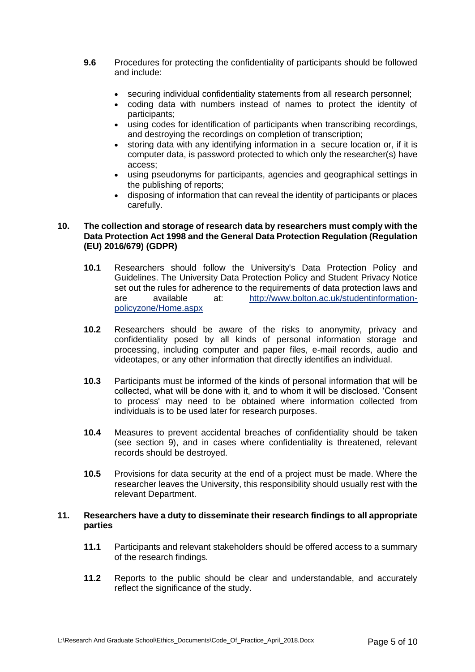- **9.6** Procedures for protecting the confidentiality of participants should be followed and include:
	- securing individual confidentiality statements from all research personnel;
	- coding data with numbers instead of names to protect the identity of participants;
	- using codes for identification of participants when transcribing recordings, and destroying the recordings on completion of transcription;
	- storing data with any identifying information in a secure location or, if it is computer data, is password protected to which only the researcher(s) have access;
	- using pseudonyms for participants, agencies and geographical settings in the publishing of reports;
	- disposing of information that can reveal the identity of participants or places carefully.

# **10. The collection and storage of research data by researchers must comply with the Data Protection Act 1998 and the General Data Protection Regulation (Regulation (EU) 2016/679) (GDPR)**

- **10.1** Researchers should follow the University's Data Protection Policy and Guidelines. The University Data Protection Policy and Student Privacy Notice set out the rules for adherence to the requirements of data protection laws and are available at: [http://www.bolton.ac.uk/studentinformation](http://www.bolton.ac.uk/studentinformation-policyzone/Home.aspx)[policyzone/Home.aspx](http://www.bolton.ac.uk/studentinformation-policyzone/Home.aspx)
- **10.2** Researchers should be aware of the risks to anonymity, privacy and confidentiality posed by all kinds of personal information storage and processing, including computer and paper files, e-mail records, audio and videotapes, or any other information that directly identifies an individual.
- **10.3** Participants must be informed of the kinds of personal information that will be collected, what will be done with it, and to whom it will be disclosed. 'Consent to process' may need to be obtained where information collected from individuals is to be used later for research purposes.
- **10.4** Measures to prevent accidental breaches of confidentiality should be taken (see section 9), and in cases where confidentiality is threatened, relevant records should be destroyed.
- **10.5** Provisions for data security at the end of a project must be made. Where the researcher leaves the University, this responsibility should usually rest with the relevant Department.

### **11. Researchers have a duty to disseminate their research findings to all appropriate parties**

- **11.1** Participants and relevant stakeholders should be offered access to a summary of the research findings.
- **11.2** Reports to the public should be clear and understandable, and accurately reflect the significance of the study.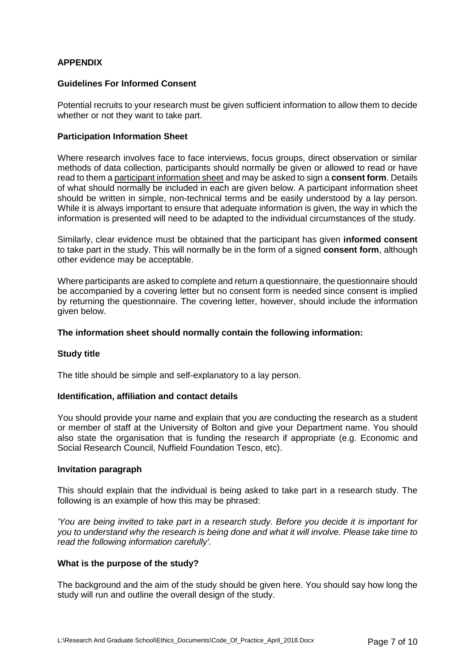# **APPENDIX**

### **Guidelines For Informed Consent**

Potential recruits to your research must be given sufficient information to allow them to decide whether or not they want to take part.

#### **Participation Information Sheet**

Where research involves face to face interviews, focus groups, direct observation or similar methods of data collection, participants should normally be given or allowed to read or have read to them a participant information sheet and may be asked to sign a **consent form**. Details of what should normally be included in each are given below. A participant information sheet should be written in simple, non-technical terms and be easily understood by a lay person. While it is always important to ensure that adequate information is given, the way in which the information is presented will need to be adapted to the individual circumstances of the study.

Similarly, clear evidence must be obtained that the participant has given **informed consent** to take part in the study. This will normally be in the form of a signed **consent form**, although other evidence may be acceptable.

Where participants are asked to complete and return a questionnaire, the questionnaire should be accompanied by a covering letter but no consent form is needed since consent is implied by returning the questionnaire. The covering letter, however, should include the information given below.

### **The information sheet should normally contain the following information:**

#### **Study title**

The title should be simple and self-explanatory to a lay person.

#### **Identification, affiliation and contact details**

You should provide your name and explain that you are conducting the research as a student or member of staff at the University of Bolton and give your Department name. You should also state the organisation that is funding the research if appropriate (e.g. Economic and Social Research Council, Nuffield Foundation Tesco, etc).

#### **Invitation paragraph**

This should explain that the individual is being asked to take part in a research study. The following is an example of how this may be phrased:

*'You are being invited to take part in a research study. Before you decide it is important for you to understand why the research is being done and what it will involve. Please take time to read the following information carefully'.*

### **What is the purpose of the study?**

The background and the aim of the study should be given here. You should say how long the study will run and outline the overall design of the study.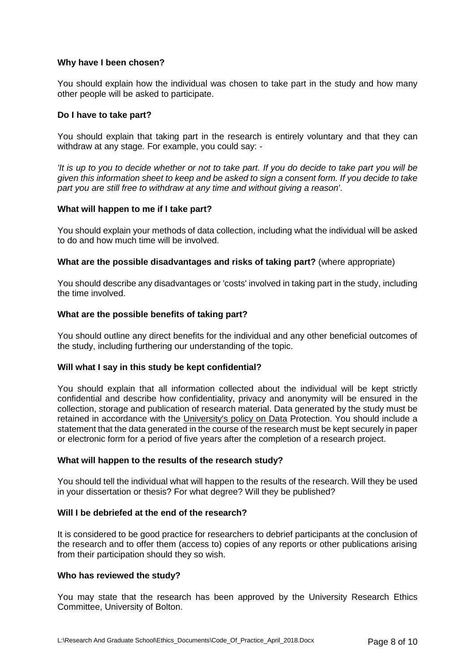# **Why have I been chosen?**

You should explain how the individual was chosen to take part in the study and how many other people will be asked to participate.

### **Do I have to take part?**

You should explain that taking part in the research is entirely voluntary and that they can withdraw at any stage. For example, you could say: -

*'It is up to you to decide whether or not to take part. If you do decide to take part you will be given this information sheet to keep and be asked to sign a consent form. If you decide to take part you are still free to withdraw at any time and without giving a reason'*.

# **What will happen to me if I take part?**

You should explain your methods of data collection, including what the individual will be asked to do and how much time will be involved.

# **What are the possible disadvantages and risks of taking part?** (where appropriate)

You should describe any disadvantages or 'costs' involved in taking part in the study, including the time involved.

# **What are the possible benefits of taking part?**

You should outline any direct benefits for the individual and any other beneficial outcomes of the study, including furthering our understanding of the topic.

#### **Will what I say in this study be kept confidential?**

You should explain that all information collected about the individual will be kept strictly confidential and describe how confidentiality, privacy and anonymity will be ensured in the collection, storage and publication of research material. Data generated by the study must be retained in accordance with the [University's policy on Data](http://www.brookes.ac.uk/research/ethics/academic_integrityCoP.html) Protection. You should include a statement that the data generated in the course of the research must be kept securely in paper or electronic form for a period of five years after the completion of a research project.

#### **What will happen to the results of the research study?**

You should tell the individual what will happen to the results of the research. Will they be used in your dissertation or thesis? For what degree? Will they be published?

#### **Will I be debriefed at the end of the research?**

It is considered to be good practice for researchers to debrief participants at the conclusion of the research and to offer them (access to) copies of any reports or other publications arising from their participation should they so wish.

#### **Who has reviewed the study?**

You may state that the research has been approved by the University Research Ethics Committee, University of Bolton.